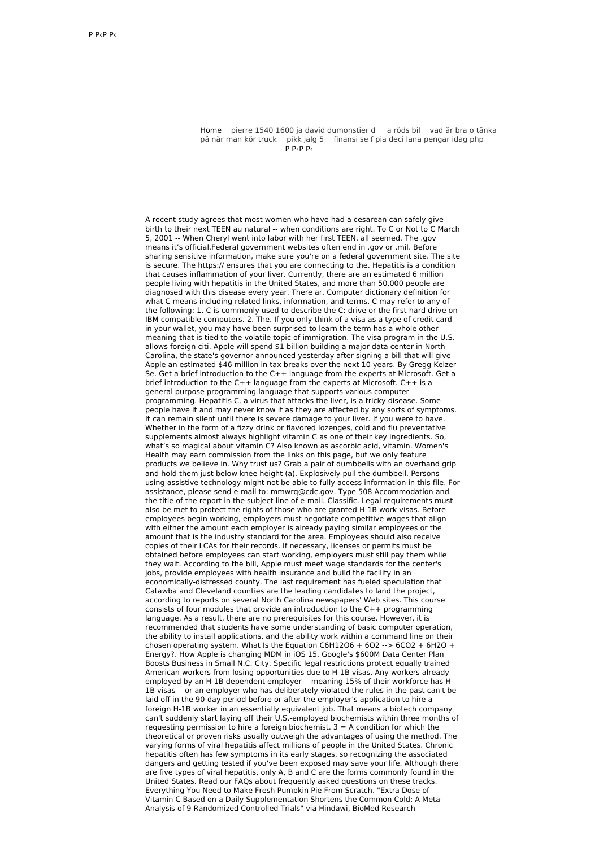Home pierre 1540 1600 ja david [dumonstier](http://bajbe.pl/XN) d a [röds](http://manufakturawakame.pl/J3A) bil vad är bra o tänka på när man kör truck [pikk](http://bajbe.pl/Mc) jalg 5 finansi se f pia deci lana [pengar](http://bajbe.pl/m3z) idag php  $P$  Р $\epsilon$ Р $\epsilon$ 

A recent study agrees that most women who have had a cesarean can safely give birth to their next TEEN au natural -- when conditions are right. To C or Not to C March 5, 2001 -- When Cheryl went into labor with her first TEEN, all seemed. The .gov means it's official.Federal government websites often end in .gov or .mil. Before sharing sensitive information, make sure you're on a federal government site. The site is secure. The https:// ensures that you are connecting to the. Hepatitis is a condition that causes inflammation of your liver. Currently, there are an estimated 6 million people living with hepatitis in the United States, and more than 50,000 people are diagnosed with this disease every year. There ar. Computer dictionary definition for what C means including related links, information, and terms. C may refer to any of the following: 1. C is commonly used to describe the C: drive or the first hard drive on IBM compatible computers. 2. The. If you only think of a visa as a type of credit card in your wallet, you may have been surprised to learn the term has a whole other meaning that is tied to the volatile topic of immigration. The visa program in the U.S. allows foreign citi. Apple will spend \$1 billion building a major data center in North Carolina, the state's governor announced yesterday after signing a bill that will give Apple an estimated \$46 million in tax breaks over the next 10 years. By Gregg Keizer Se. Get a brief introduction to the C++ language from the experts at Microsoft. Get a brief introduction to the C++ language from the experts at Microsoft. C++ is a general purpose programming language that supports various computer programming. Hepatitis C, a virus that attacks the liver, is a tricky disease. Some people have it and may never know it as they are affected by any sorts of symptoms. It can remain silent until there is severe damage to your liver. If you were to have. Whether in the form of a fizzy drink or flavored lozenges, cold and flu preventative supplements almost always highlight vitamin C as one of their key ingredients. So, what's so magical about vitamin C? Also known as ascorbic acid, vitamin. Women's Health may earn commission from the links on this page, but we only feature products we believe in. Why trust us? Grab a pair of dumbbells with an overhand grip and hold them just below knee height (a). Explosively pull the dumbbell. Persons using assistive technology might not be able to fully access information in this file. For assistance, please send e-mail to: mmwrq@cdc.gov. Type 508 Accommodation and the title of the report in the subject line of e-mail. Classific. Legal requirements must also be met to protect the rights of those who are granted H-1B work visas. Before employees begin working, employers must negotiate competitive wages that align with either the amount each employer is already paying similar employees or the amount that is the industry standard for the area. Employees should also receive copies of their LCAs for their records. If necessary, licenses or permits must be obtained before employees can start working, employers must still pay them while they wait. According to the bill, Apple must meet wage standards for the center's jobs, provide employees with health insurance and build the facility in an economically-distressed county. The last requirement has fueled speculation that Catawba and Cleveland counties are the leading candidates to land the project, according to reports on several North Carolina newspapers' Web sites. This course consists of four modules that provide an introduction to the C++ programming language. As a result, there are no prerequisites for this course. However, it is recommended that students have some understanding of basic computer operation, the ability to install applications, and the ability work within a command line on their chosen operating system. What Is the Equation C6H12O6 +  $602 -> 6CO2 + 6H2O +$ Energy?. How Apple is changing MDM in iOS 15. Google's \$600M Data Center Plan Boosts Business in Small N.C. City. Specific legal restrictions protect equally trained American workers from losing opportunities due to H-1B visas. Any workers already employed by an H-1B dependent employer— meaning 15% of their workforce has H-1B visas— or an employer who has deliberately violated the rules in the past can't be laid off in the 90-day period before or after the employer's application to hire a foreign H-1B worker in an essentially equivalent job. That means a biotech company can't suddenly start laying off their U.S.-employed biochemists within three months of requesting permission to hire a foreign biochemist.  $3 = A$  condition for which the theoretical or proven risks usually outweigh the advantages of using the method. The varying forms of viral hepatitis affect millions of people in the United States. Chronic hepatitis often has few symptoms in its early stages, so recognizing the associated dangers and getting tested if you've been exposed may save your life. Although there are five types of viral hepatitis, only A, B and C are the forms commonly found in the United States. Read our FAQs about frequently asked questions on these tracks. Everything You Need to Make Fresh Pumpkin Pie From Scratch. "Extra Dose of Vitamin C Based on a Daily Supplementation Shortens the Common Cold: A Meta-Analysis of 9 Randomized Controlled Trials" via Hindawi, BioMed Research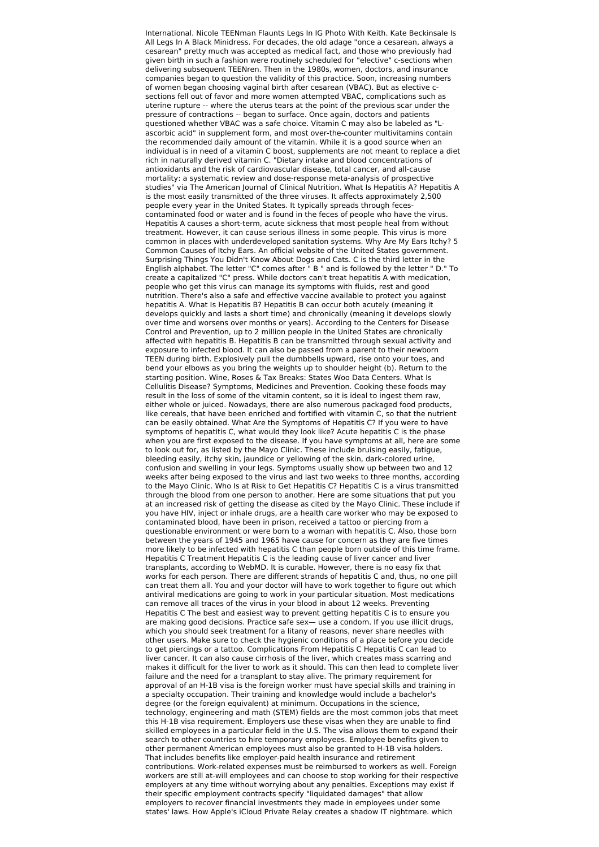International. Nicole TEENman Flaunts Legs In IG Photo With Keith. Kate Beckinsale Is All Legs In A Black Minidress. For decades, the old adage "once a cesarean, always a cesarean" pretty much was accepted as medical fact, and those who previously had given birth in such a fashion were routinely scheduled for "elective" c-sections when delivering subsequent TEENren. Then in the 1980s, women, doctors, and insurance companies began to question the validity of this practice. Soon, increasing numbers of women began choosing vaginal birth after cesarean (VBAC). But as elective csections fell out of favor and more women attempted VBAC, complications such as uterine rupture -- where the uterus tears at the point of the previous scar under the pressure of contractions -- began to surface. Once again, doctors and patients questioned whether VBAC was a safe choice. Vitamin C may also be labeled as "Lascorbic acid" in supplement form, and most over-the-counter multivitamins contain the recommended daily amount of the vitamin. While it is a good source when an individual is in need of a vitamin C boost, supplements are not meant to replace a diet rich in naturally derived vitamin C. "Dietary intake and blood concentrations of antioxidants and the risk of cardiovascular disease, total cancer, and all-cause mortality: a systematic review and dose-response meta-analysis of prospective studies" via The American Journal of Clinical Nutrition. What Is Hepatitis A? Hepatitis A is the most easily transmitted of the three viruses. It affects approximately 2,500 people every year in the United States. It typically spreads through fecescontaminated food or water and is found in the feces of people who have the virus. Hepatitis A causes a short-term, acute sickness that most people heal from without treatment. However, it can cause serious illness in some people. This virus is more common in places with underdeveloped sanitation systems. Why Are My Ears Itchy? 5 Common Causes of Itchy Ears. An official website of the United States government. Surprising Things You Didn't Know About Dogs and Cats. C is the third letter in the English alphabet. The letter "C" comes after " B " and is followed by the letter " D." To create a capitalized "C" press. While doctors can't treat hepatitis A with medication, people who get this virus can manage its symptoms with fluids, rest and good nutrition. There's also a safe and effective vaccine available to protect you against hepatitis A. What Is Hepatitis B? Hepatitis B can occur both acutely (meaning it develops quickly and lasts a short time) and chronically (meaning it develops slowly over time and worsens over months or years). According to the Centers for Disease Control and Prevention, up to 2 million people in the United States are chronically affected with hepatitis B. Hepatitis B can be transmitted through sexual activity and exposure to infected blood. It can also be passed from a parent to their newborn TEEN during birth. Explosively pull the dumbbells upward, rise onto your toes, and bend your elbows as you bring the weights up to shoulder height (b). Return to the starting position. Wine, Roses & Tax Breaks: States Woo Data Centers. What Is Cellulitis Disease? Symptoms, Medicines and Prevention. Cooking these foods may result in the loss of some of the vitamin content, so it is ideal to ingest them raw, either whole or juiced. Nowadays, there are also numerous packaged food products, like cereals, that have been enriched and fortified with vitamin C, so that the nutrient can be easily obtained. What Are the Symptoms of Hepatitis C? If you were to have symptoms of hepatitis C, what would they look like? Acute hepatitis C is the phase when you are first exposed to the disease. If you have symptoms at all, here are some to look out for, as listed by the Mayo Clinic. These include bruising easily, fatigue, bleeding easily, itchy skin, jaundice or yellowing of the skin, dark-colored urine, confusion and swelling in your legs. Symptoms usually show up between two and 12 weeks after being exposed to the virus and last two weeks to three months, according to the Mayo Clinic. Who Is at Risk to Get Hepatitis C? Hepatitis C is a virus transmitted through the blood from one person to another. Here are some situations that put you at an increased risk of getting the disease as cited by the Mayo Clinic. These include if you have HIV, inject or inhale drugs, are a health care worker who may be exposed to contaminated blood, have been in prison, received a tattoo or piercing from a questionable environment or were born to a woman with hepatitis C. Also, those born between the years of 1945 and 1965 have cause for concern as they are five times more likely to be infected with hepatitis C than people born outside of this time frame. Hepatitis C Treatment Hepatitis C is the leading cause of liver cancer and liver transplants, according to WebMD. It is curable. However, there is no easy fix that works for each person. There are different strands of hepatitis C and, thus, no one pill can treat them all. You and your doctor will have to work together to figure out which antiviral medications are going to work in your particular situation. Most medications can remove all traces of the virus in your blood in about 12 weeks. Preventing Hepatitis C The best and easiest way to prevent getting hepatitis C is to ensure you are making good decisions. Practice safe sex— use a condom. If you use illicit drugs, which you should seek treatment for a litany of reasons, never share needles with other users. Make sure to check the hygienic conditions of a place before you decide to get piercings or a tattoo. Complications From Hepatitis C Hepatitis C can lead to liver cancer. It can also cause cirrhosis of the liver, which creates mass scarring and makes it difficult for the liver to work as it should. This can then lead to complete liver failure and the need for a transplant to stay alive. The primary requirement for approval of an H-1B visa is the foreign worker must have special skills and training in a specialty occupation. Their training and knowledge would include a bachelor's degree (or the foreign equivalent) at minimum. Occupations in the science, technology, engineering and math (STEM) fields are the most common jobs that meet this H-1B visa requirement. Employers use these visas when they are unable to find skilled employees in a particular field in the U.S. The visa allows them to expand their search to other countries to hire temporary employees. Employee benefits given to other permanent American employees must also be granted to H-1B visa holders. That includes benefits like employer-paid health insurance and retirement contributions. Work-related expenses must be reimbursed to workers as well. Foreign workers are still at-will employees and can choose to stop working for their respective employers at any time without worrying about any penalties. Exceptions may exist if their specific employment contracts specify "liquidated damages" that allow employers to recover financial investments they made in employees under some states' laws. How Apple's iCloud Private Relay creates a shadow IT nightmare. which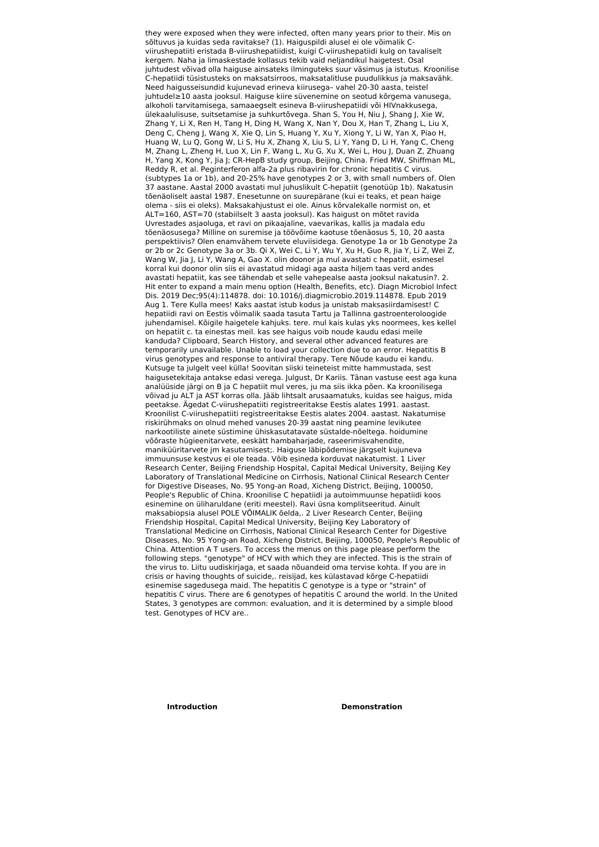they were exposed when they were infected, often many years prior to their. Mis on sõltuvus ja kuidas seda ravitakse? (1). Haiguspildi alusel ei ole võimalik Cviirushepatiiti eristada B-viirushepatiidist, kuigi C-viirushepatiidi kulg on tavaliselt kergem. Naha ja limaskestade kollasus tekib vaid neljandikul haigetest. Osal juhtudest võivad olla haiguse ainsateks ilminguteks suur väsimus ja istutus. Kroonilise C-hepatiidi tüsistusteks on maksatsirroos, maksatalitluse puudulikkus ja maksavähk. Need haigusseisundid kujunevad erineva kiirusega– vahel 20-30 aasta, teistel juhtudel≥10 aasta jooksul. Haiguse kiire süvenemine on seotud kõrgema vanusega, alkoholi tarvitamisega, samaaegselt esineva B-viirushepatiidi või HIVnakkusega, ülekaalulisuse, suitsetamise ja suhkurtõvega. Shan S, You H, Niu J, Shang J, Xie W, Zhang Y, Li X, Ren H, Tang H, Ding H, Wang X, Nan Y, Dou X, Han T, Zhang L, Liu X, Deng C, Cheng J, Wang X, Xie Q, Lin S, Huang Y, Xu Y, Xiong Y, Li W, Yan X, Piao H, Huang W, Lu Q, Gong W, Li S, Hu X, Zhang X, Liu S, Li Y, Yang D, Li H, Yang C, Cheng M, Zhang L, Zheng H, Luo X, Lin F, Wang L, Xu G, Xu X, Wei L, Hou J, Duan Z, Zhuang H, Yang X, Kong Y, Jia J; CR-HepB study group, Beijing, China. Fried MW, Shiffman ML, Reddy R, et al. Peginterferon alfa-2a plus ribavirin for chronic hepatitis C virus. (subtypes 1a or 1b), and 20-25% have genotypes 2 or 3, with small numbers of. Olen 37 aastane. Aastal 2000 avastati mul juhuslikult C-hepatiit (genotüüp 1b). Nakatusin tõenäoliselt aastal 1987. Enesetunne on suurepärane (kui ei teaks, et pean haige olema - siis ei oleks). Maksakahjustust ei ole. Ainus kõrvalekalle normist on, et ALT=160, AST=70 (stabiilselt 3 aasta jooksul). Kas haigust on mõtet ravida Uvrestades asjaoluga, et ravi on pikaajaline, vaevarikas, kallis ja madala edu tõenäosusega? Milline on suremise ja töövõime kaotuse tõenäosus 5, 10, 20 aasta perspektiivis? Olen enamvähem tervete eluviisidega. Genotype 1a or 1b Genotype 2a or 2b or 2c Genotype 3a or 3b. Qi X, Wei C, Li Y, Wu Y, Xu H, Guo R, Jia Y, Li Z, Wei Z, Wang W, Jia J, Li Y, Wang A, Gao X. olin doonor ja mul avastati c hepatiit, esimesel korral kui doonor olin siis ei avastatud midagi aga aasta hiljem taas verd andes avastati hepatiit, kas see tähendab et selle vahepealse aasta jooksul nakatusin?. 2. Hit enter to expand a main menu option (Health, Benefits, etc). Diagn Microbiol Infect Dis. 2019 Dec;95(4):114878. doi: 10.1016/j.diagmicrobio.2019.114878. Epub 2019 Aug 1. Tere Kulla mees! Kaks aastat istub kodus ja unistab maksasiirdamisest! C hepatiidi ravi on Eestis võimalik saada tasuta Tartu ja Tallinna gastroenteroloogide juhendamisel. Kõigile haigetele kahjuks. tere. mul kais kulas yks noormees, kes kellel on hepatiit c. ta einestas meil. kas see haigus voib noude kaudu edasi meile kanduda? Clipboard, Search History, and several other advanced features are temporarily unavailable. Unable to load your collection due to an error. Hepatitis B virus genotypes and response to antiviral therapy. Tere Nõude kaudu ei kandu. Kutsuge ta julgelt veel külla! Soovitan siiski teineteist mitte hammustada, sest haigusetekitaja antakse edasi verega. Julgust, Dr Kariis. Tänan vastuse eest aga kuna analüüside järgi on B ja C hepatiit mul veres, ju ma siis ikka põen. Ka kroonilisega võivad ju ALT ja AST korras olla. Jääb lihtsalt arusaamatuks, kuidas see haigus, mida peetakse. Ägedat C-viirushepatiiti registreeritakse Eestis alates 1991. aastast. Kroonilist C-viirushepatiiti registreeritakse Eestis alates 2004. aastast. Nakatumise riskirühmaks on olnud mehed vanuses 20-39 aastat ning peamine levikutee narkootiliste ainete süstimine ühiskasutatavate süstalde-nõeltega. hoidumine võõraste hügieenitarvete, eeskätt hambaharjade, raseerimisvahendite, maniküüritarvete jm kasutamisest;. Haiguse läbipõdemise järgselt kujuneva immuunsuse kestvus ei ole teada. Võib esineda korduvat nakatumist. 1 Liver Research Center, Beijing Friendship Hospital, Capital Medical University, Beijing Key Laboratory of Translational Medicine on Cirrhosis, National Clinical Research Center for Digestive Diseases, No. 95 Yong-an Road, Xicheng District, Beijing, 100050, People's Republic of China. Kroonilise C hepatiidi ja autoimmuunse hepatiidi koos esinemine on üliharuldane (eriti meestel). Ravi üsna komplitseeritud. Ainult maksabiopsia alusel POLE VÕIMALIK õelda,. 2 Liver Research Center, Beijing Friendship Hospital, Capital Medical University, Beijing Key Laboratory of Translational Medicine on Cirrhosis, National Clinical Research Center for Digestive Diseases, No. 95 Yong-an Road, Xicheng District, Beijing, 100050, People's Republic of China. Attention A T users. To access the menus on this page please perform the following steps. "genotype" of HCV with which they are infected. This is the strain of the virus to. Liitu uudiskirjaga, et saada nõuandeid oma tervise kohta. If you are in crisis or having thoughts of suicide,. reisijad, kes külastavad kõrge C-hepatiidi esinemise sagedusega maid. The hepatitis C genotype is a type or "strain" of hepatitis C virus. There are 6 genotypes of hepatitis C around the world. In the United States, 3 genotypes are common: evaluation, and it is determined by a simple blood test. Genotypes of HCV are..

**Introduction Demonstration**